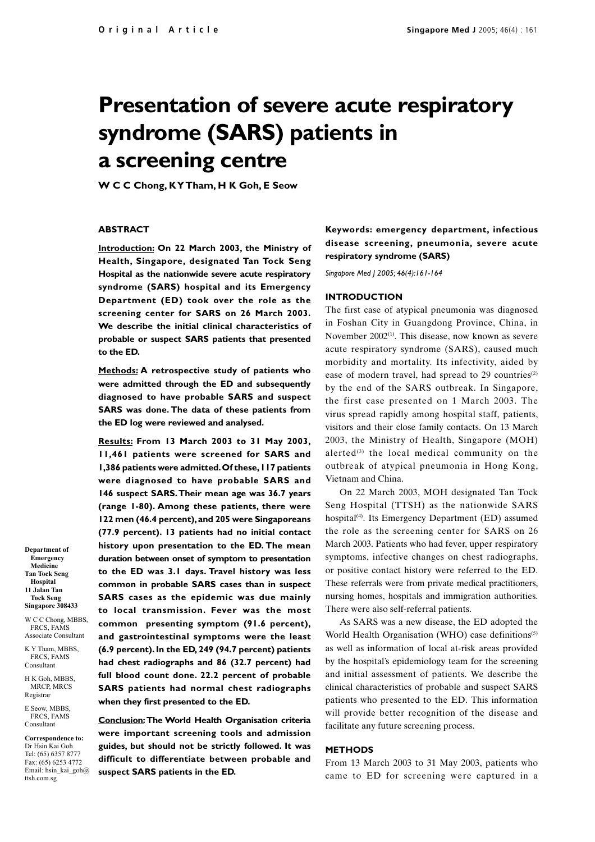# **Presentation of severe acute respiratory syndrome (SARS) patients in a screening centre**

**W C C Chong, K Y Tham, H K Goh, E Seow**

#### **ABSTRACT**

**Introduction: On 22 March 2003, the Ministry of Health, Singapore, designated Tan Tock Seng Hospital as the nationwide severe acute respiratory syndrome (SARS) hospital and its Emergency Department (ED) took over the role as the screening center for SARS on 26 March 2003. We describe the initial clinical characteristics of probable or suspect SARS patients that presented to the ED.**

**Methods: A retrospective study of patients who were admitted through the ED and subsequently diagnosed to have probable SARS and suspect SARS was done. The data of these patients from the ED log were reviewed and analysed.**

**Results: From 13 March 2003 to 31 May 2003, 11,461 patients were screened for SARS and 1,386 patients were admitted. Of these, 117 patients were diagnosed to have probable SARS and 146 suspect SARS. Their mean age was 36.7 years (range 1-80). Among these patients, there were 122 men (46.4 percent), and 205 were Singaporeans (77.9 percent). 13 patients had no initial contact history upon presentation to the ED. The mean duration between onset of symptom to presentation to the ED was 3.1 days. Travel history was less common in probable SARS cases than in suspect SARS cases as the epidemic was due mainly to local transmission. Fever was the most common presenting symptom (91.6 percent), and gastrointestinal symptoms were the least (6.9 percent). In the ED, 249 (94.7 percent) patients had chest radiographs and 86 (32.7 percent) had full blood count done. 22.2 percent of probable SARS patients had normal chest radiographs when they first presented to the ED.**

**Conclusion: The World Health Organisation criteria were important screening tools and admission guides, but should not be strictly followed. It was difficult to differentiate between probable and suspect SARS patients in the ED.**

## **Keywords: emergency department, infectious disease screening, pneumonia, severe acute respiratory syndrome (SARS)**

*Singapore Med J 2005; 46(4):161-164*

#### **INTRODUCTION**

The first case of atypical pneumonia was diagnosed in Foshan City in Guangdong Province, China, in November 2002<sup>(1)</sup>. This disease, now known as severe acute respiratory syndrome (SARS), caused much morbidity and mortality. Its infectivity, aided by ease of modern travel, had spread to 29 countries<sup>(2)</sup> by the end of the SARS outbreak. In Singapore, the first case presented on 1 March 2003. The virus spread rapidly among hospital staff, patients, visitors and their close family contacts. On 13 March 2003, the Ministry of Health, Singapore (MOH) alerted $(3)$  the local medical community on the outbreak of atypical pneumonia in Hong Kong, Vietnam and China.

On 22 March 2003, MOH designated Tan Tock Seng Hospital (TTSH) as the nationwide SARS hospital<sup>(4)</sup>. Its Emergency Department (ED) assumed the role as the screening center for SARS on 26 March 2003. Patients who had fever, upper respiratory symptoms, infective changes on chest radiographs, or positive contact history were referred to the ED. These referrals were from private medical practitioners, nursing homes, hospitals and immigration authorities. There were also self-referral patients.

As SARS was a new disease, the ED adopted the World Health Organisation (WHO) case definitions<sup>(5)</sup> as well as information of local at-risk areas provided by the hospital's epidemiology team for the screening and initial assessment of patients. We describe the clinical characteristics of probable and suspect SARS patients who presented to the ED. This information will provide better recognition of the disease and facilitate any future screening process.

## **METHODS**

From 13 March 2003 to 31 May 2003, patients who came to ED for screening were captured in a

**Emergency Medicine Tan Tock Seng Hospital 11 Jalan Tan Tock Seng Singapore 308433**

**Department of**

W C C Chong, MBBS, FRCS, FAMS Associate Consultant

K Y Tham, MBBS, FRCS, FAMS Consultant

H K Goh, MBBS, MRCP, MRCS Registrar

E Seow, MBBS, FRCS, FAMS Consultant

**Correspondence to:** Dr Hsin Kai Goh Tel: (65) 6357 8777 Fax: (65) 6253 4772 Email: hsin\_kai\_goh@ ttsh.com.sg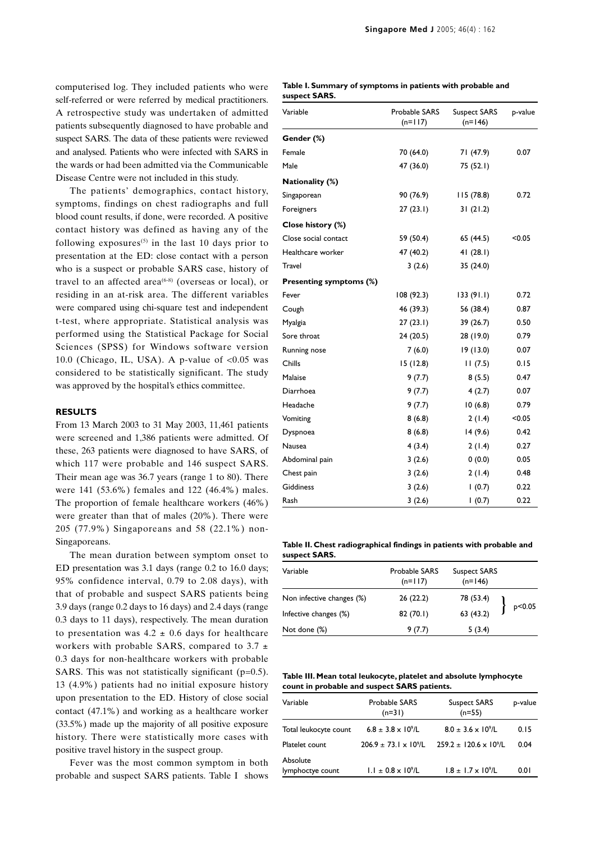computerised log. They included patients who were self-referred or were referred by medical practitioners. A retrospective study was undertaken of admitted patients subsequently diagnosed to have probable and suspect SARS. The data of these patients were reviewed and analysed. Patients who were infected with SARS in the wards or had been admitted via the Communicable Disease Centre were not included in this study.

The patients' demographics, contact history, symptoms, findings on chest radiographs and full blood count results, if done, were recorded. A positive contact history was defined as having any of the following exposures<sup>(5)</sup> in the last 10 days prior to presentation at the ED: close contact with a person who is a suspect or probable SARS case, history of travel to an affected area<sup> $(6-8)$ </sup> (overseas or local), or residing in an at-risk area. The different variables were compared using chi-square test and independent t-test, where appropriate. Statistical analysis was performed using the Statistical Package for Social Sciences (SPSS) for Windows software version 10.0 (Chicago, IL, USA). A p-value of  $< 0.05$  was considered to be statistically significant. The study was approved by the hospital's ethics committee.

## **RESULTS**

From 13 March 2003 to 31 May 2003, 11,461 patients were screened and 1,386 patients were admitted. Of these, 263 patients were diagnosed to have SARS, of which 117 were probable and 146 suspect SARS. Their mean age was 36.7 years (range 1 to 80). There were 141 (53.6%) females and 122 (46.4%) males. The proportion of female healthcare workers (46%) were greater than that of males (20%). There were 205 (77.9%) Singaporeans and 58 (22.1%) non-Singaporeans.

The mean duration between symptom onset to ED presentation was 3.1 days (range 0.2 to 16.0 days; 95% confidence interval, 0.79 to 2.08 days), with that of probable and suspect SARS patients being 3.9 days (range 0.2 days to 16 days) and 2.4 days (range 0.3 days to 11 days), respectively. The mean duration to presentation was  $4.2 \pm 0.6$  days for healthcare workers with probable SARS, compared to 3.7  $\pm$ 0.3 days for non-healthcare workers with probable SARS. This was not statistically significant ( $p=0.5$ ). 13 (4.9%) patients had no initial exposure history upon presentation to the ED. History of close social contact (47.1%) and working as a healthcare worker (33.5%) made up the majority of all positive exposure history. There were statistically more cases with positive travel history in the suspect group.

Fever was the most common symptom in both probable and suspect SARS patients. Table I shows

### **Table I. Summary of symptoms in patients with probable and suspect SARS.**

| Variable                       | Probable SARS<br>$(n=117)$ | <b>Suspect SARS</b><br>$(n=146)$ | p-value |
|--------------------------------|----------------------------|----------------------------------|---------|
| Gender (%)                     |                            |                                  |         |
| Female                         | 70 (64.0)                  | 71 (47.9)                        | 0.07    |
| Male                           | 47 (36.0)                  | 75 (52.1)                        |         |
| Nationality (%)                |                            |                                  |         |
| Singaporean                    | 90 (76.9)                  | 115(78.8)                        | 0.72    |
| Foreigners                     | 27(23.1)                   | 31(21.2)                         |         |
| Close history (%)              |                            |                                  |         |
| Close social contact           | 59 (50.4)                  | 65 (44.5)                        | < 0.05  |
| Healthcare worker              | 47 (40.2)                  | 41(28.1)                         |         |
| Travel                         | 3(2.6)                     | 35 (24.0)                        |         |
| <b>Presenting symptoms (%)</b> |                            |                                  |         |
| Fever                          | 108 (92.3)                 | 133(91.1)                        | 0.72    |
| Cough                          | 46 (39.3)                  | 56 (38.4)                        | 0.87    |
| Myalgia                        | 27(23.1)                   | 39 (26.7)                        | 0.50    |
| Sore throat                    | 24 (20.5)                  | 28 (19.0)                        | 0.79    |
| Running nose                   | 7(6.0)                     | 19(13.0)                         | 0.07    |
| Chills                         | 15(12.8)                   | 11(7.5)                          | 0.15    |
| Malaise                        | 9(7.7)                     | 8(5.5)                           | 0.47    |
| Diarrhoea                      | 9(7.7)                     | 4(2.7)                           | 0.07    |
| Headache                       | 9(7.7)                     | 10(6.8)                          | 0.79    |
| Vomiting                       | 8(6.8)                     | 2(1.4)                           | < 0.05  |
| Dyspnoea                       | 8(6.8)                     | 14(9.6)                          | 0.42    |
| Nausea                         | 4(3.4)                     | 2(1.4)                           | 0.27    |
| Abdominal pain                 | 3(2.6)                     | 0(0.0)                           | 0.05    |
| Chest pain                     | 3(2.6)                     | 2(1.4)                           | 0.48    |
| <b>Giddiness</b>               | 3(2.6)                     | 1(0.7)                           | 0.22    |
| Rash                           | 3(2.6)                     | 1(0.7)                           | 0.22    |

**Table II. Chest radiographical findings in patients with probable and suspect SARS.**

| Variable                  | Probable SARS<br>$(n=117)$ | Suspect SARS<br>$(n=146)$ |        |
|---------------------------|----------------------------|---------------------------|--------|
| Non infective changes (%) | 26 (22.2)                  |                           | p<0.05 |
| Infective changes (%)     | 82 (70.1)                  | 78 (53.4)<br>63 (43.2)    |        |
| Not done (%)              | 9(7.7)                     | 5(3.4)                    |        |

**Table III. Mean total leukocyte, platelet and absolute lymphocyte count in probable and suspect SARS patients.**

| Variable                     | Probable SARS<br>$(n=31)$        | <b>Suspect SARS</b><br>$(n=55)$    | p-value |
|------------------------------|----------------------------------|------------------------------------|---------|
| Total leukocyte count        | $6.8 \pm 3.8 \times 10^{9}$ /L   | $8.0 \pm 3.6 \times 10^{9}$ /L     | 0.15    |
| Platelet count               | $206.9 \pm 73.1 \times 10^{9}/L$ | $259.2 \pm 120.6 \times 10^{9}$ /L | 0.04    |
| Absolute<br>lymphoctye count | $1.1 \pm 0.8 \times 10^9$ /L     | $1.8 \pm 1.7 \times 10^{9}$ /L     | 0.01    |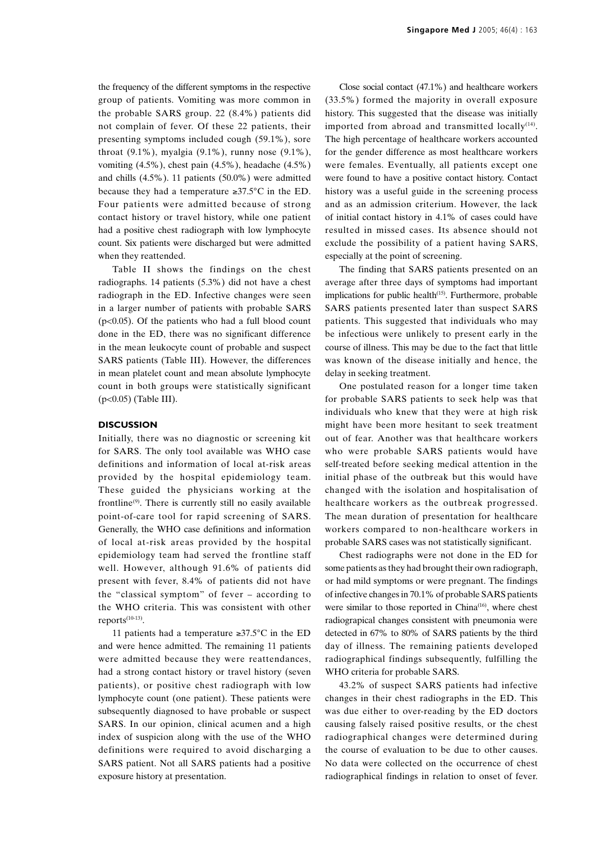the frequency of the different symptoms in the respective group of patients. Vomiting was more common in the probable SARS group. 22 (8.4%) patients did not complain of fever. Of these 22 patients, their presenting symptoms included cough (59.1%), sore throat (9.1%), myalgia (9.1%), runny nose (9.1%), vomiting (4.5%), chest pain (4.5%), headache (4.5%) and chills (4.5%). 11 patients (50.0%) were admitted because they had a temperature ≥37.5°C in the ED. Four patients were admitted because of strong contact history or travel history, while one patient had a positive chest radiograph with low lymphocyte count. Six patients were discharged but were admitted when they reattended.

Table II shows the findings on the chest radiographs. 14 patients (5.3%) did not have a chest radiograph in the ED. Infective changes were seen in a larger number of patients with probable SARS ( $p<0.05$ ). Of the patients who had a full blood count done in the ED, there was no significant difference in the mean leukocyte count of probable and suspect SARS patients (Table III). However, the differences in mean platelet count and mean absolute lymphocyte count in both groups were statistically significant (p<0.05) (Table III).

## **DISCUSSION**

Initially, there was no diagnostic or screening kit for SARS. The only tool available was WHO case definitions and information of local at-risk areas provided by the hospital epidemiology team. These guided the physicians working at the frontline(9). There is currently still no easily available point-of-care tool for rapid screening of SARS. Generally, the WHO case definitions and information of local at-risk areas provided by the hospital epidemiology team had served the frontline staff well. However, although 91.6% of patients did present with fever, 8.4% of patients did not have the "classical symptom" of fever – according to the WHO criteria. This was consistent with other  $reports<sup>(10-13)</sup>$ .

11 patients had a temperature ≥37.5 $\degree$ C in the ED and were hence admitted. The remaining 11 patients were admitted because they were reattendances, had a strong contact history or travel history (seven patients), or positive chest radiograph with low lymphocyte count (one patient). These patients were subsequently diagnosed to have probable or suspect SARS. In our opinion, clinical acumen and a high index of suspicion along with the use of the WHO definitions were required to avoid discharging a SARS patient. Not all SARS patients had a positive exposure history at presentation.

Close social contact (47.1%) and healthcare workers (33.5%) formed the majority in overall exposure history. This suggested that the disease was initially imported from abroad and transmitted locally $(14)$ . The high percentage of healthcare workers accounted for the gender difference as most healthcare workers were females. Eventually, all patients except one were found to have a positive contact history. Contact history was a useful guide in the screening process and as an admission criterium. However, the lack of initial contact history in 4.1% of cases could have resulted in missed cases. Its absence should not exclude the possibility of a patient having SARS, especially at the point of screening.

The finding that SARS patients presented on an average after three days of symptoms had important implications for public health $(15)$ . Furthermore, probable SARS patients presented later than suspect SARS patients. This suggested that individuals who may be infectious were unlikely to present early in the course of illness. This may be due to the fact that little was known of the disease initially and hence, the delay in seeking treatment.

One postulated reason for a longer time taken for probable SARS patients to seek help was that individuals who knew that they were at high risk might have been more hesitant to seek treatment out of fear. Another was that healthcare workers who were probable SARS patients would have self-treated before seeking medical attention in the initial phase of the outbreak but this would have changed with the isolation and hospitalisation of healthcare workers as the outbreak progressed. The mean duration of presentation for healthcare workers compared to non-healthcare workers in probable SARS cases was not statistically significant.

Chest radiographs were not done in the ED for some patients as they had brought their own radiograph, or had mild symptoms or were pregnant. The findings of infective changes in 70.1% of probable SARS patients were similar to those reported in China<sup>(16)</sup>, where chest radiograpical changes consistent with pneumonia were detected in 67% to 80% of SARS patients by the third day of illness. The remaining patients developed radiographical findings subsequently, fulfilling the WHO criteria for probable SARS.

43.2% of suspect SARS patients had infective changes in their chest radiographs in the ED. This was due either to over-reading by the ED doctors causing falsely raised positive results, or the chest radiographical changes were determined during the course of evaluation to be due to other causes. No data were collected on the occurrence of chest radiographical findings in relation to onset of fever.